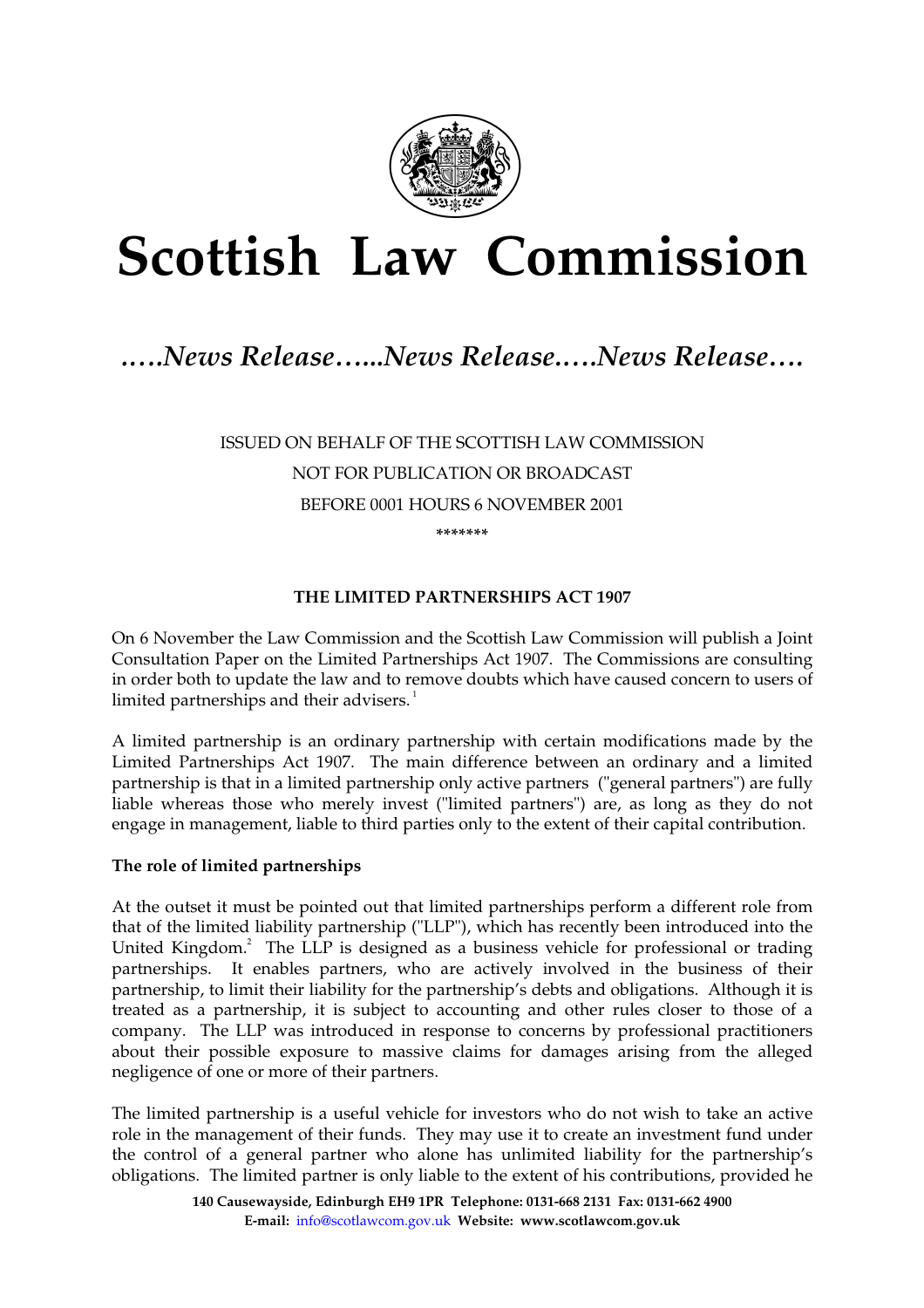

# **Scottish Law Commission**

## *.….News Release…...News Release.….News Release….*

ISSUED ON BEHALF OF THE SCOTTISH LAW COMMISSION NOT FOR PUBLICATION OR BROADCAST BEFORE 0001 HOURS 6 NOVEMBER 2001 **\*\*\*\*\*\*\*** 

#### **THE LIMITED PARTNERSHIPS ACT 1907**

On 6 November the Law Commission and the Scottish Law Commission will publish a Joint Consultation Paper on the Limited Partnerships Act 1907. The Commissions are consulting in order both to update the law and to remove doubts which have caused concern to users of limited partnerships and their advisers. $1$ 

A limited partnership is an ordinary partnership with certain modifications made by the Limited Partnerships Act 1907. The main difference between an ordinary and a limited partnership is that in a limited partnership only active partners ("general partners") are fully liable whereas those who merely invest ("limited partners") are, as long as they do not engage in management, liable to third parties only to the extent of their capital contribution.

#### **The role of limited partnerships**

At the outset it must be pointed out that limited partnerships perform a different role from that of the limited liability partnership ("LLP"), which has recently been introduced into the United Kingdom.<sup>2</sup> The LLP is designed as a business vehicle for professional or trading partnerships. It enables partners, who are actively involved in the business of their partnership, to limit their liability for the partnership's debts and obligations. Although it is treated as a partnership, it is subject to accounting and other rules closer to those of a company. The LLP was introduced in response to concerns by professional practitioners about their possible exposure to massive claims for damages arising from the alleged negligence of one or more of their partners.

The limited partnership is a useful vehicle for investors who do not wish to take an active role in the management of their funds. They may use it to create an investment fund under the control of a general partner who alone has unlimited liability for the partnership's obligations. The limited partner is only liable to the extent of his contributions, provided he

> **140 Causewayside, Edinburgh EH9 1PR Telephone: 0131-668 2131 Fax: 0131-662 4900 E-mail:** info@scotlawcom.gov.uk **Website: www.scotlawcom.gov.uk**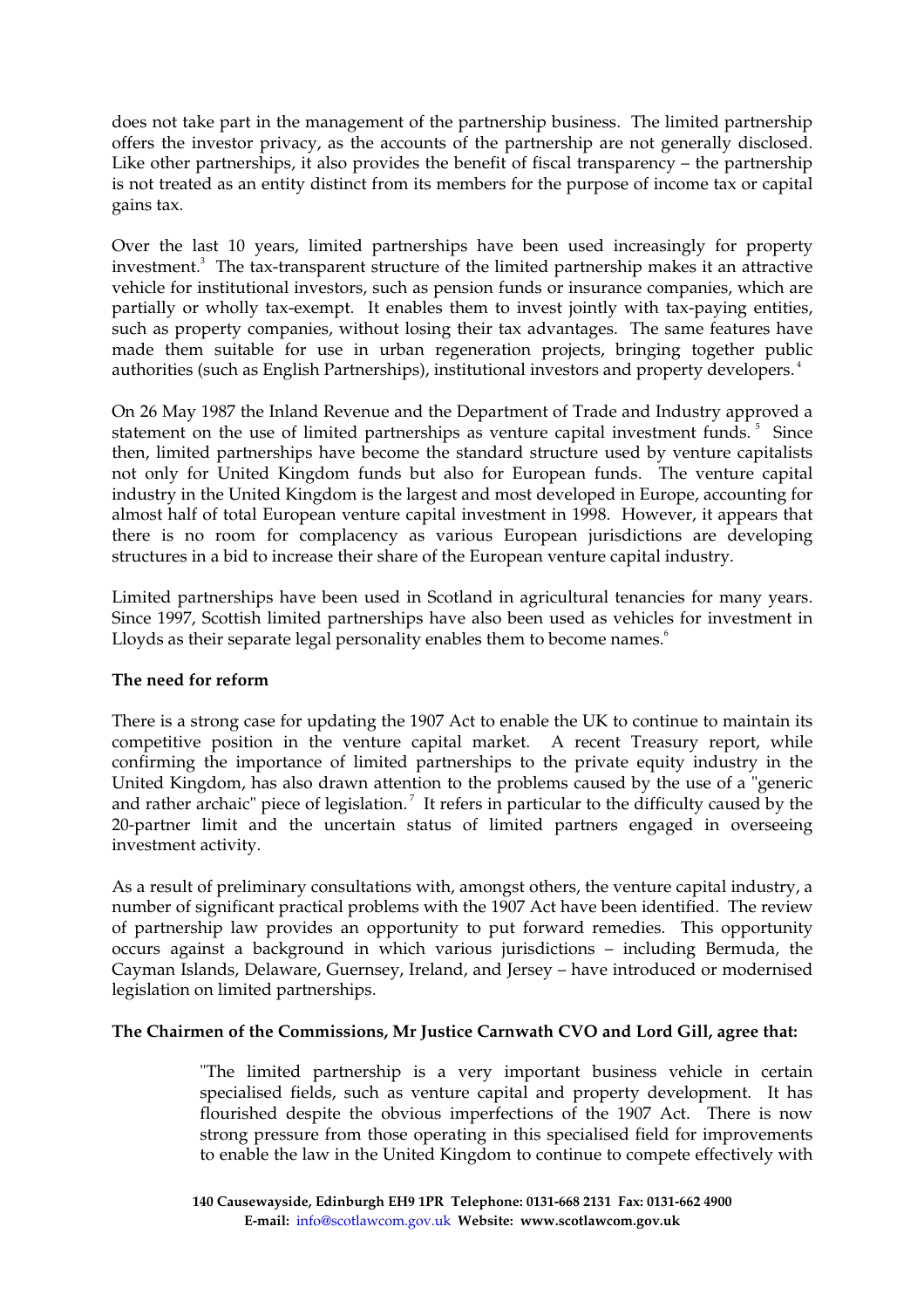does not take part in the management of the partnership business. The limited partnership offers the investor privacy, as the accounts of the partnership are not generally disclosed. Like other partnerships, it also provides the benefit of fiscal transparency – the partnership is not treated as an entity distinct from its members for the purpose of income tax or capital gains tax.

Over the last 10 years, limited partnerships have been used increasingly for property investment.<sup>3</sup> The tax-transparent structure of the limited partnership makes it an attractive vehicle for institutional investors, such as pension funds or insurance companies, which are partially or wholly tax-exempt. It enables them to invest jointly with tax-paying entities, such as property companies, without losing their tax advantages. The same features have made them suitable for use in urban regeneration projects, bringing together public authorities (such as English Partnerships), institutional investors and property developers.<sup>4</sup>

On 26 May 1987 the Inland Revenue and the Department of Trade and Industry approved a statement on the use of limited partnerships as venture capital investment funds.<sup>5</sup> Since then, limited partnerships have become the standard structure used by venture capitalists not only for United Kingdom funds but also for European funds. The venture capital industry in the United Kingdom is the largest and most developed in Europe, accounting for almost half of total European venture capital investment in 1998. However, it appears that there is no room for complacency as various European jurisdictions are developing structures in a bid to increase their share of the European venture capital industry.

Limited partnerships have been used in Scotland in agricultural tenancies for many years. Since 1997, Scottish limited partnerships have also been used as vehicles for investment in Lloyds as their separate legal personality enables them to become names.<sup>6</sup>

#### **The need for reform**

There is a strong case for updating the 1907 Act to enable the UK to continue to maintain its competitive position in the venture capital market. A recent Treasury report, while confirming the importance of limited partnerships to the private equity industry in the United Kingdom, has also drawn attention to the problems caused by the use of a "generic and rather archaic" piece of legislation.<sup>7</sup> It refers in particular to the difficulty caused by the 20-partner limit and the uncertain status of limited partners engaged in overseeing investment activity.

As a result of preliminary consultations with, amongst others, the venture capital industry, a number of significant practical problems with the 1907 Act have been identified. The review of partnership law provides an opportunity to put forward remedies. This opportunity occurs against a background in which various jurisdictions – including Bermuda, the Cayman Islands, Delaware, Guernsey, Ireland, and Jersey – have introduced or modernised legislation on limited partnerships.

### **The Chairmen of the Commissions, Mr Justice Carnwath CVO and Lord Gill, agree that:**

"The limited partnership is a very important business vehicle in certain specialised fields, such as venture capital and property development. It has flourished despite the obvious imperfections of the 1907 Act. There is now strong pressure from those operating in this specialised field for improvements to enable the law in the United Kingdom to continue to compete effectively with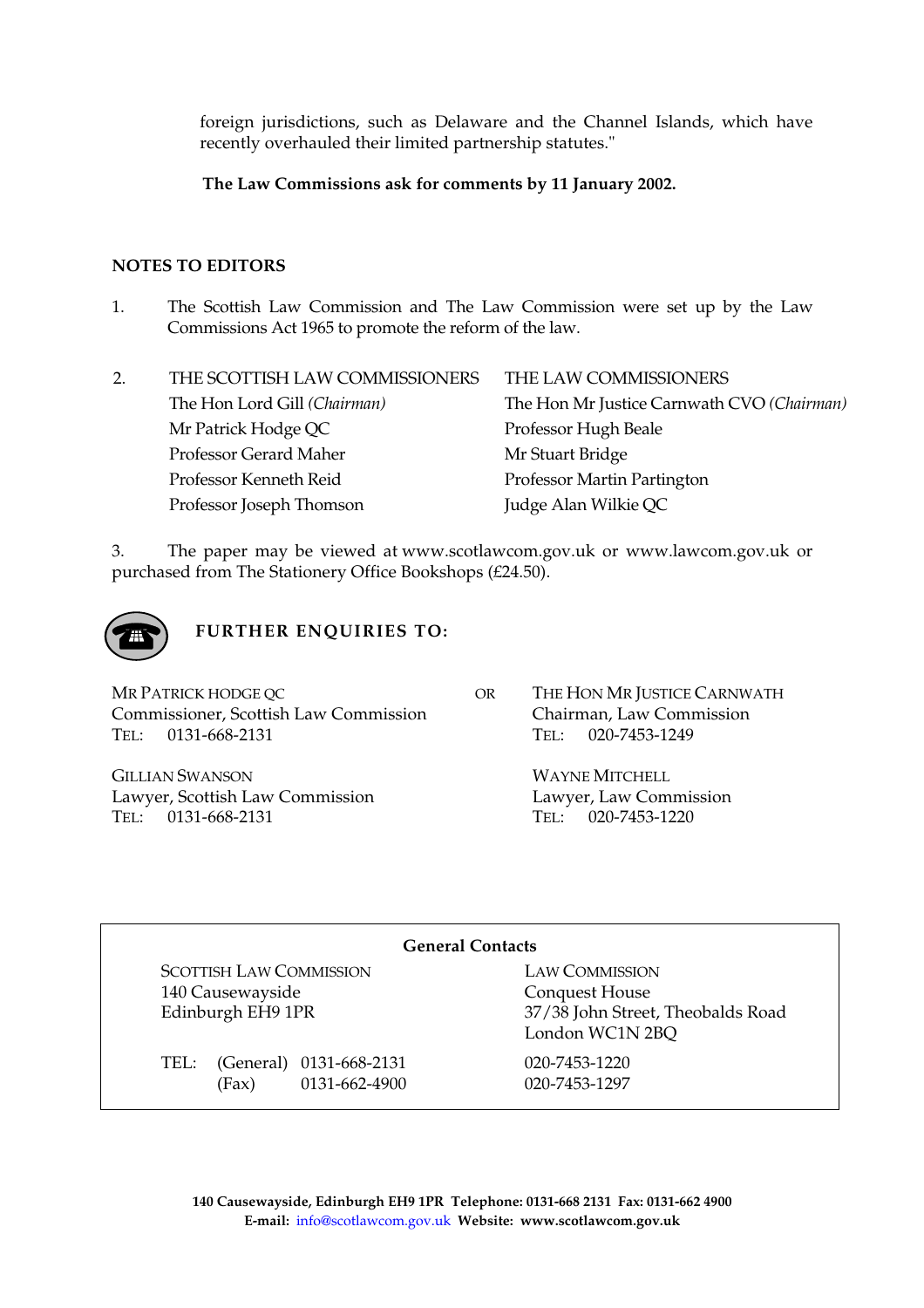foreign jurisdictions, such as Delaware and the Channel Islands, which have recently overhauled their limited partnership statutes."

**The Law Commissions ask for comments by 11 January 2002.** 

#### **NOTES TO EDITORS**

1. The Scottish Law Commission and The Law Commission were set up by the Law Commissions Act 1965 to promote the reform of the law.

| 2. | THE SCOTTISH LAW COMMISSIONERS | THE LAW COMMISSIONERS                      |
|----|--------------------------------|--------------------------------------------|
|    | The Hon Lord Gill (Chairman)   | The Hon Mr Justice Carnwath CVO (Chairman) |
|    | Mr Patrick Hodge QC            | Professor Hugh Beale                       |
|    | Professor Gerard Maher         | Mr Stuart Bridge                           |
|    | Professor Kenneth Reid         | Professor Martin Partington                |
|    | Professor Joseph Thomson       | Judge Alan Wilkie QC                       |

3. The paper may be viewed at www.scotlawcom.gov.uk or www.lawcom.gov.uk or purchased from The Stationery Office Bookshops (£24.50).



**FURTHER ENQUIRIES TO:** 

MR PATRICK HODGE QC Commissioner, Scottish Law Commission TEL: 0131-668-2131

GILLIAN SWANSON Lawyer, Scottish Law Commission TEL: 0131-668-2131

OR THE HON MR JUSTICE CARNWATH Chairman, Law Commission TEL: 020-7453-1249

> WAYNE MITCHELL Lawyer, Law Commission TEL: 020-7453-1220

#### **General Contacts**

SCOTTISH LAW COMMISSION LAW COMMISSION 140 Causewayside Conquest House

TEL: (General) 0131-668-2131 020-7453-1220 (Fax) 0131-662-4900 020-7453-1297

Edinburgh EH9 1PR 37/38 John Street, Theobalds Road London WC1N 2BQ